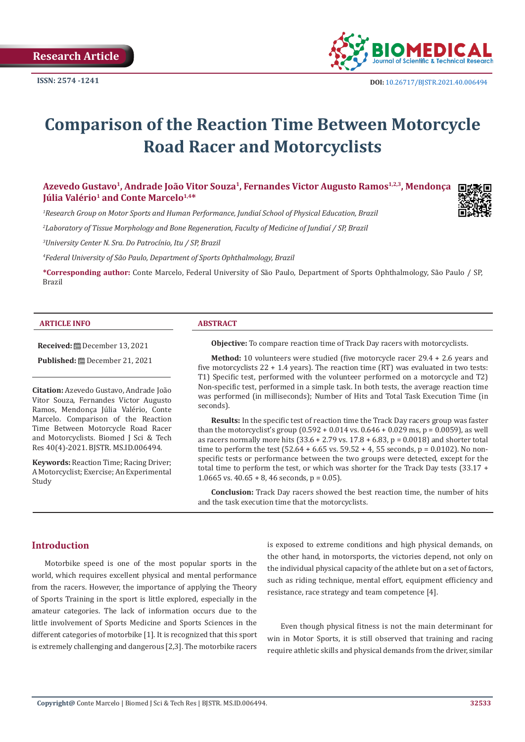

# **Comparison of the Reaction Time Between Motorcycle Road Racer and Motorcyclists**

Azevedo Gustavo<sup>1</sup>, Andrade João Vitor Souza<sup>1</sup>, Fernandes Victor Augusto Ramos<sup>1,2,3</sup>, Mendonça **Iúlia Valério<sup>1</sup> and Conte Marcelo<sup>1,4\*</sup>** 

*1 Research Group on Motor Sports and Human Performance, Jundiaí School of Physical Education, Brazil*

*2 Laboratory of Tissue Morphology and Bone Regeneration, Faculty of Medicine of Jundiaí / SP, Brazil*

*3 University Center N. Sra. Do Patrocínio, Itu / SP, Brazil*

*4 Federal University of São Paulo, Department of Sports Ophthalmology, Brazil*

**\*Corresponding author:** Conte Marcelo, Federal University of São Paulo, Department of Sports Ophthalmology, São Paulo / SP, Brazil

#### **ARTICLE INFO ABSTRACT**

#### **Received:** December 13, 2021

**Published:** December 21, 2021

**Citation:** Azevedo Gustavo, Andrade João Vitor Souza, Fernandes Victor Augusto Ramos, Mendonça Júlia Valério, Conte Marcelo. Comparison of the Reaction Time Between Motorcycle Road Racer and Motorcyclists. Biomed J Sci & Tech Res 40(4)-2021. BJSTR. MS.ID.006494.

**Keywords:** Reaction Time; Racing Driver; A Motorcyclist; Exercise; An Experimental Study

**Objective:** To compare reaction time of Track Day racers with motorcyclists.

**Method:** 10 volunteers were studied (five motorcycle racer 29.4 + 2.6 years and five motorcyclists  $22 + 1.4$  years). The reaction time (RT) was evaluated in two tests: T1) Specific test, performed with the volunteer performed on a motorcycle and T2) Non-specific test, performed in a simple task. In both tests, the average reaction time was performed (in milliseconds); Number of Hits and Total Task Execution Time (in seconds).

**Results:** In the specific test of reaction time the Track Day racers group was faster than the motorcyclist's group  $(0.592 + 0.014 \text{ vs. } 0.646 + 0.029 \text{ ms}, p = 0.0059)$ , as well as racers normally more hits  $(33.6 + 2.79 \text{ vs. } 17.8 + 6.83, p = 0.0018)$  and shorter total time to perform the test  $(52.64 + 6.65 \text{ vs. } 59.52 + 4, 55 \text{ seconds}, p = 0.0102)$ . No nonspecific tests or performance between the two groups were detected, except for the total time to perform the test, or which was shorter for the Track Day tests (33.17 + 1.0665 vs.  $40.65 + 8$ , 46 seconds, p = 0.05).

**Conclusion:** Track Day racers showed the best reaction time, the number of hits and the task execution time that the motorcyclists.

# **Introduction**

Motorbike speed is one of the most popular sports in the world, which requires excellent physical and mental performance from the racers. However, the importance of applying the Theory of Sports Training in the sport is little explored, especially in the amateur categories. The lack of information occurs due to the little involvement of Sports Medicine and Sports Sciences in the different categories of motorbike [1]. It is recognized that this sport is extremely challenging and dangerous [2,3]. The motorbike racers is exposed to extreme conditions and high physical demands, on the other hand, in motorsports, the victories depend, not only on the individual physical capacity of the athlete but on a set of factors, such as riding technique, mental effort, equipment efficiency and resistance, race strategy and team competence [4].

Even though physical fitness is not the main determinant for win in Motor Sports, it is still observed that training and racing require athletic skills and physical demands from the driver, similar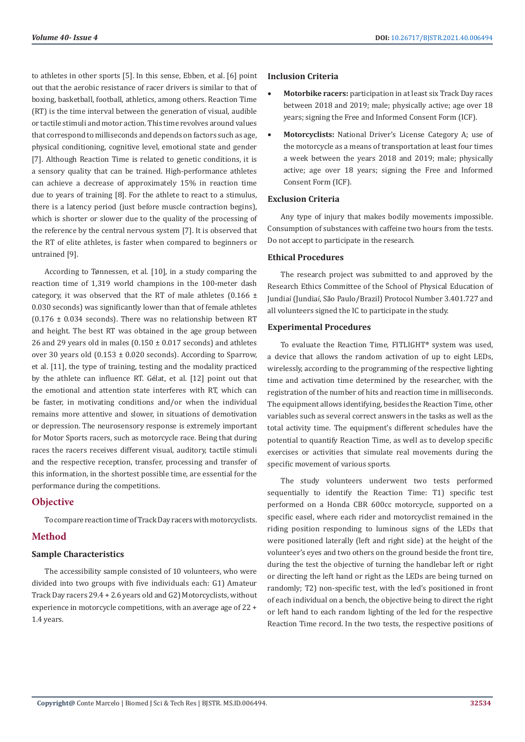to athletes in other sports [5]. In this sense, Ebben, et al. [6] point out that the aerobic resistance of racer drivers is similar to that of boxing, basketball, football, athletics, among others. Reaction Time (RT) is the time interval between the generation of visual, audible or tactile stimuli and motor action. This time revolves around values that correspond to milliseconds and depends on factors such as age, physical conditioning, cognitive level, emotional state and gender [7]. Although Reaction Time is related to genetic conditions, it is a sensory quality that can be trained. High-performance athletes can achieve a decrease of approximately 15% in reaction time due to years of training [8]. For the athlete to react to a stimulus, there is a latency period (just before muscle contraction begins), which is shorter or slower due to the quality of the processing of the reference by the central nervous system [7]. It is observed that the RT of elite athletes, is faster when compared to beginners or untrained [9].

According to Tønnessen, et al. [10], in a study comparing the reaction time of 1,319 world champions in the 100-meter dash category, it was observed that the RT of male athletes  $(0.166 \pm$ 0.030 seconds) was significantly lower than that of female athletes  $(0.176 \pm 0.034$  seconds). There was no relationship between RT and height. The best RT was obtained in the age group between 26 and 29 years old in males  $(0.150 \pm 0.017$  seconds) and athletes over 30 years old (0.153 ± 0.020 seconds). According to Sparrow, et al. [11], the type of training, testing and the modality practiced by the athlete can influence RT. Gélat, et al. [12] point out that the emotional and attention state interferes with RT, which can be faster, in motivating conditions and/or when the individual remains more attentive and slower, in situations of demotivation or depression. The neurosensory response is extremely important for Motor Sports racers, such as motorcycle race. Being that during races the racers receives different visual, auditory, tactile stimuli and the respective reception, transfer, processing and transfer of this information, in the shortest possible time, are essential for the performance during the competitions.

# **Objective**

To compare reaction time of Track Day racers with motorcyclists.

# **Method**

# **Sample Characteristics**

The accessibility sample consisted of 10 volunteers, who were divided into two groups with five individuals each: G1) Amateur Track Day racers 29.4 + 2.6 years old and G2) Motorcyclists, without experience in motorcycle competitions, with an average age of 22 + 1.4 years.

#### **Inclusion Criteria**

- **Motorbike racers:** participation in at least six Track Day races between 2018 and 2019; male; physically active; age over 18 years; signing the Free and Informed Consent Form (ICF).
- **Motorcyclists:** National Driver's License Category A; use of the motorcycle as a means of transportation at least four times a week between the years 2018 and 2019; male; physically active; age over 18 years; signing the Free and Informed Consent Form (ICF).

### **Exclusion Criteria**

Any type of injury that makes bodily movements impossible. Consumption of substances with caffeine two hours from the tests. Do not accept to participate in the research.

# **Ethical Procedures**

The research project was submitted to and approved by the Research Ethics Committee of the School of Physical Education of Jundiaí (Jundiaí, São Paulo/Brazil) Protocol Number 3.401.727 and all volunteers signed the IC to participate in the study.

### **Experimental Procedures**

To evaluate the Reaction Time, FITLIGHT® system was used, a device that allows the random activation of up to eight LEDs, wirelessly, according to the programming of the respective lighting time and activation time determined by the researcher, with the registration of the number of hits and reaction time in milliseconds. The equipment allows identifying, besides the Reaction Time, other variables such as several correct answers in the tasks as well as the total activity time. The equipment's different schedules have the potential to quantify Reaction Time, as well as to develop specific exercises or activities that simulate real movements during the specific movement of various sports.

The study volunteers underwent two tests performed sequentially to identify the Reaction Time: T1) specific test performed on a Honda CBR 600cc motorcycle, supported on a specific easel, where each rider and motorcyclist remained in the riding position responding to luminous signs of the LEDs that were positioned laterally (left and right side) at the height of the volunteer's eyes and two others on the ground beside the front tire, during the test the objective of turning the handlebar left or right or directing the left hand or right as the LEDs are being turned on randomly; T2) non-specific test, with the led's positioned in front of each individual on a bench, the objective being to direct the right or left hand to each random lighting of the led for the respective Reaction Time record. In the two tests, the respective positions of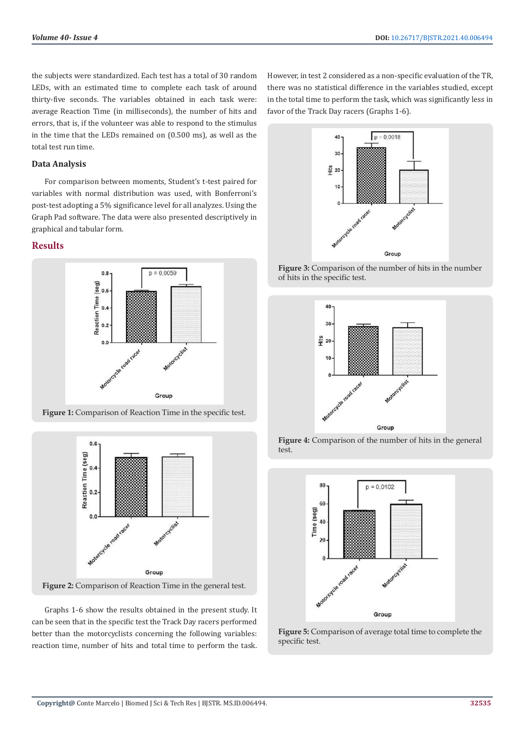the subjects were standardized. Each test has a total of 30 random LEDs, with an estimated time to complete each task of around thirty-five seconds. The variables obtained in each task were: average Reaction Time (in milliseconds), the number of hits and errors, that is, if the volunteer was able to respond to the stimulus in the time that the LEDs remained on (0.500 ms), as well as the total test run time.

#### **Data Analysis**

For comparison between moments, Student's t-test paired for variables with normal distribution was used, with Bonferroni's post-test adopting a 5% significance level for all analyzes. Using the Graph Pad software. The data were also presented descriptively in graphical and tabular form.

# **Results**



**Figure 1:** Comparison of Reaction Time in the specific test.



**Figure 2:** Comparison of Reaction Time in the general test.

Graphs 1-6 show the results obtained in the present study. It can be seen that in the specific test the Track Day racers performed better than the motorcyclists concerning the following variables: reaction time, number of hits and total time to perform the task.

However, in test 2 considered as a non-specific evaluation of the TR, there was no statistical difference in the variables studied, except in the total time to perform the task, which was significantly less in favor of the Track Day racers (Graphs 1-6).







**Figure 4:** Comparison of the number of hits in the general test.



**Figure 5:** Comparison of average total time to complete the specific test.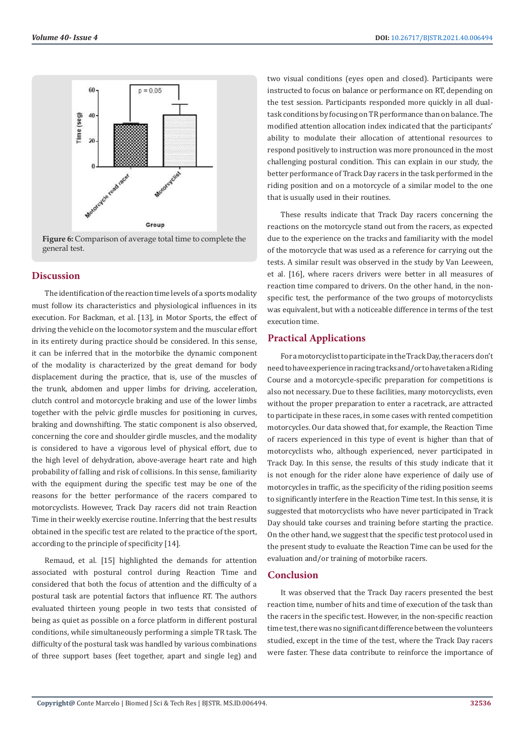

**Figure 6:** Comparison of average total time to complete the general test.

# **Discussion**

The identification of the reaction time levels of a sports modality must follow its characteristics and physiological influences in its execution. For Backman, et al. [13], in Motor Sports, the effect of driving the vehicle on the locomotor system and the muscular effort in its entirety during practice should be considered. In this sense, it can be inferred that in the motorbike the dynamic component of the modality is characterized by the great demand for body displacement during the practice, that is, use of the muscles of the trunk, abdomen and upper limbs for driving, acceleration, clutch control and motorcycle braking and use of the lower limbs together with the pelvic girdle muscles for positioning in curves, braking and downshifting. The static component is also observed, concerning the core and shoulder girdle muscles, and the modality is considered to have a vigorous level of physical effort, due to the high level of dehydration, above-average heart rate and high probability of falling and risk of collisions. In this sense, familiarity with the equipment during the specific test may be one of the reasons for the better performance of the racers compared to motorcyclists. However, Track Day racers did not train Reaction Time in their weekly exercise routine. Inferring that the best results obtained in the specific test are related to the practice of the sport, according to the principle of specificity [14].

Remaud, et al. [15] highlighted the demands for attention associated with postural control during Reaction Time and considered that both the focus of attention and the difficulty of a postural task are potential factors that influence RT. The authors evaluated thirteen young people in two tests that consisted of being as quiet as possible on a force platform in different postural conditions, while simultaneously performing a simple TR task. The difficulty of the postural task was handled by various combinations of three support bases (feet together, apart and single leg) and

two visual conditions (eyes open and closed). Participants were instructed to focus on balance or performance on RT, depending on the test session. Participants responded more quickly in all dualtask conditions by focusing on TR performance than on balance. The modified attention allocation index indicated that the participants' ability to modulate their allocation of attentional resources to respond positively to instruction was more pronounced in the most challenging postural condition. This can explain in our study, the better performance of Track Day racers in the task performed in the riding position and on a motorcycle of a similar model to the one that is usually used in their routines.

These results indicate that Track Day racers concerning the reactions on the motorcycle stand out from the racers, as expected due to the experience on the tracks and familiarity with the model of the motorcycle that was used as a reference for carrying out the tests. A similar result was observed in the study by Van Leeween, et al. [16], where racers drivers were better in all measures of reaction time compared to drivers. On the other hand, in the nonspecific test, the performance of the two groups of motorcyclists was equivalent, but with a noticeable difference in terms of the test execution time.

# **Practical Applications**

For a motorcyclist to participate in the Track Day, the racers don't need to have experience in racing tracks and/or to have taken a Riding Course and a motorcycle-specific preparation for competitions is also not necessary. Due to these facilities, many motorcyclists, even without the proper preparation to enter a racetrack, are attracted to participate in these races, in some cases with rented competition motorcycles. Our data showed that, for example, the Reaction Time of racers experienced in this type of event is higher than that of motorcyclists who, although experienced, never participated in Track Day. In this sense, the results of this study indicate that it is not enough for the rider alone have experience of daily use of motorcycles in traffic, as the specificity of the riding position seems to significantly interfere in the Reaction Time test. In this sense, it is suggested that motorcyclists who have never participated in Track Day should take courses and training before starting the practice. On the other hand, we suggest that the specific test protocol used in the present study to evaluate the Reaction Time can be used for the evaluation and/or training of motorbike racers.

# **Conclusion**

It was observed that the Track Day racers presented the best reaction time, number of hits and time of execution of the task than the racers in the specific test. However, in the non-specific reaction time test, there was no significant difference between the volunteers studied, except in the time of the test, where the Track Day racers were faster. These data contribute to reinforce the importance of